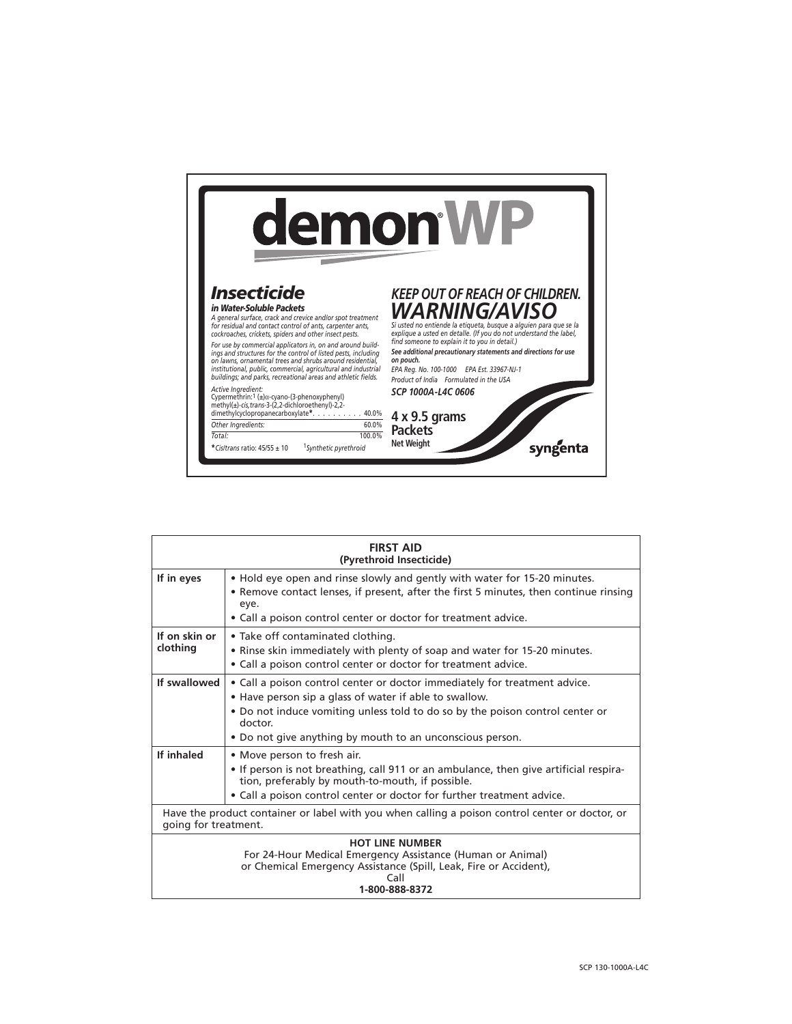

| <b>FIRST AID</b><br>(Pyrethroid Insecticide)                                                                                                                                        |                                                                                                                                                                                                                                                                                               |  |  |
|-------------------------------------------------------------------------------------------------------------------------------------------------------------------------------------|-----------------------------------------------------------------------------------------------------------------------------------------------------------------------------------------------------------------------------------------------------------------------------------------------|--|--|
| If in eyes                                                                                                                                                                          | . Hold eye open and rinse slowly and gently with water for 15-20 minutes.<br>• Remove contact lenses, if present, after the first 5 minutes, then continue rinsing<br>eye.<br>• Call a poison control center or doctor for treatment advice.                                                  |  |  |
| If on skin or<br>clothing                                                                                                                                                           | • Take off contaminated clothing.<br>• Rinse skin immediately with plenty of soap and water for 15-20 minutes.<br>• Call a poison control center or doctor for treatment advice.                                                                                                              |  |  |
| If swallowed                                                                                                                                                                        | • Call a poison control center or doctor immediately for treatment advice.<br>• Have person sip a glass of water if able to swallow.<br>. Do not induce vomiting unless told to do so by the poison control center or<br>doctor.<br>. Do not give anything by mouth to an unconscious person. |  |  |
| If inhaled                                                                                                                                                                          | • Move person to fresh air.<br>• If person is not breathing, call 911 or an ambulance, then give artificial respira-<br>tion, preferably by mouth-to-mouth, if possible.<br>• Call a poison control center or doctor for further treatment advice.                                            |  |  |
| Have the product container or label with you when calling a poison control center or doctor, or<br>going for treatment.                                                             |                                                                                                                                                                                                                                                                                               |  |  |
| <b>HOT LINE NUMBER</b><br>For 24-Hour Medical Emergency Assistance (Human or Animal)<br>or Chemical Emergency Assistance (Spill, Leak, Fire or Accident),<br>Call<br>1-800-888-8372 |                                                                                                                                                                                                                                                                                               |  |  |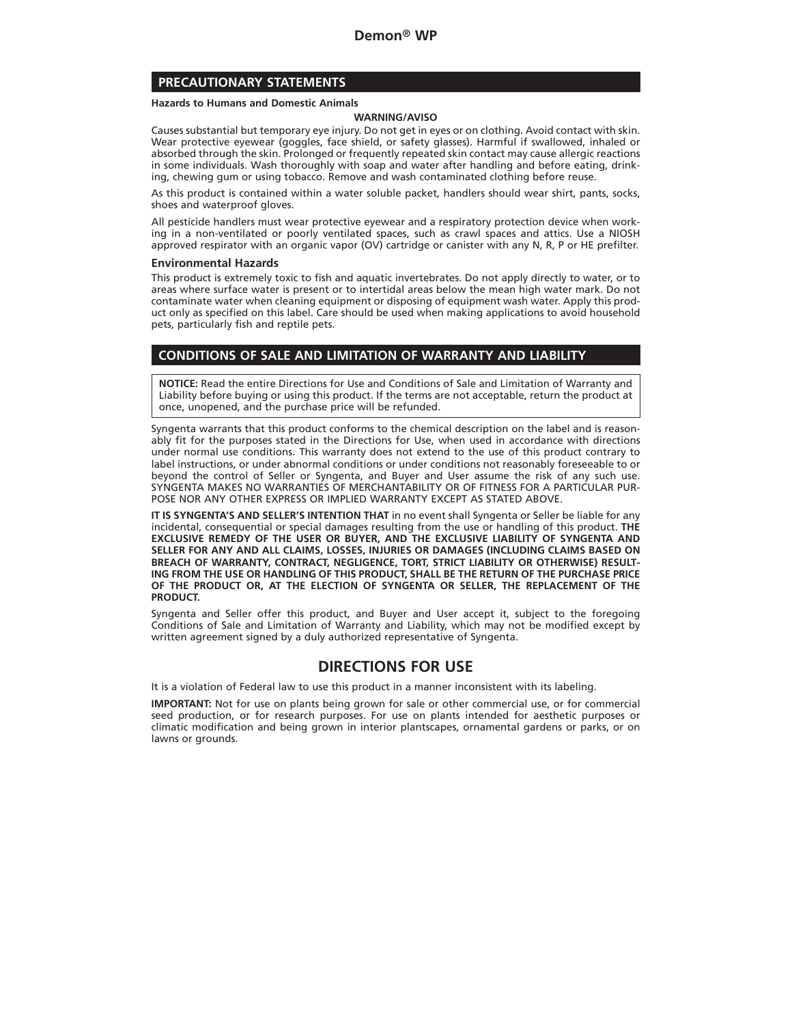# **PRECAUTIONARY STATEMENTS**

#### **Hazards to Humans and Domestic Animals**

#### **WARNING/AVISO**

Causes substantial but temporary eye injury. Do not get in eyes or on clothing. Avoid contact with skin. Wear protective eyewear (goggles, face shield, or safety glasses). Harmful if swallowed, inhaled or absorbed through the skin. Prolonged or frequently repeated skin contact may cause allergic reactions in some individuals. Wash thoroughly with soap and water after handling and before eating, drinking, chewing gum or using tobacco. Remove and wash contaminated clothing before reuse.

As this product is contained within a water soluble packet, handlers should wear shirt, pants, socks, shoes and waterproof gloves.

All pesticide handlers must wear protective eyewear and a respiratory protection device when working in a non-ventilated or poorly ventilated spaces, such as crawl spaces and attics. Use a NIOSH approved respirator with an organic vapor (OV) cartridge or canister with any N, R, P or HE prefilter.

#### **Environmental Hazards**

This product is extremely toxic to fish and aquatic invertebrates. Do not apply directly to water, or to areas where surface water is present or to intertidal areas below the mean high water mark. Do not contaminate water when cleaning equipment or disposing of equipment wash water. Apply this product only as specified on this label. Care should be used when making applications to avoid household pets, particularly fish and reptile pets.

# **CONDITIONS OF SALE AND LIMITATION OF WARRANTY AND LIABILITY**

**NOTICE:** Read the entire Directions for Use and Conditions of Sale and Limitation of Warranty and Liability before buying or using this product. If the terms are not acceptable, return the product at once, unopened, and the purchase price will be refunded.

Syngenta warrants that this product conforms to the chemical description on the label and is reasonably fit for the purposes stated in the Directions for Use, when used in accordance with directions under normal use conditions. This warranty does not extend to the use of this product contrary to label instructions, or under abnormal conditions or under conditions not reasonably foreseeable to or beyond the control of Seller or Syngenta, and Buyer and User assume the risk of any such use. SYNGENTA MAKES NO WARRANTIES OF MERCHANTABILITY OR OF FITNESS FOR A PARTICULAR PUR-POSE NOR ANY OTHER EXPRESS OR IMPLIED WARRANTY EXCEPT AS STATED ABOVE.

**IT IS SYNGENTA'S AND SELLER'S INTENTION THAT** in no event shall Syngenta or Seller be liable for any incidental, consequential or special damages resulting from the use or handling of this product. **THE EXCLUSIVE REMEDY OF THE USER OR BUYER, AND THE EXCLUSIVE LIABILITY OF SYNGENTA AND SELLER FOR ANY AND ALL CLAIMS, LOSSES, INJURIES OR DAMAGES (INCLUDING CLAIMS BASED ON BREACH OF WARRANTY, CONTRACT, NEGLIGENCE, TORT, STRICT LIABILITY OR OTHERWISE) RESULT-ING FROM THE USE OR HANDLING OF THIS PRODUCT, SHALL BE THE RETURN OF THE PURCHASE PRICE OF THE PRODUCT OR, AT THE ELECTION OF SYNGENTA OR SELLER, THE REPLACEMENT OF THE PRODUCT.**

Syngenta and Seller offer this product, and Buyer and User accept it, subject to the foregoing Conditions of Sale and Limitation of Warranty and Liability, which may not be modified except by written agreement signed by a duly authorized representative of Syngenta.

# **DIRECTIONS FOR USE**

It is a violation of Federal law to use this product in a manner inconsistent with its labeling.

**IMPORTANT:** Not for use on plants being grown for sale or other commercial use, or for commercial seed production, or for research purposes. For use on plants intended for aesthetic purposes or climatic modification and being grown in interior plantscapes, ornamental gardens or parks, or on lawns or grounds.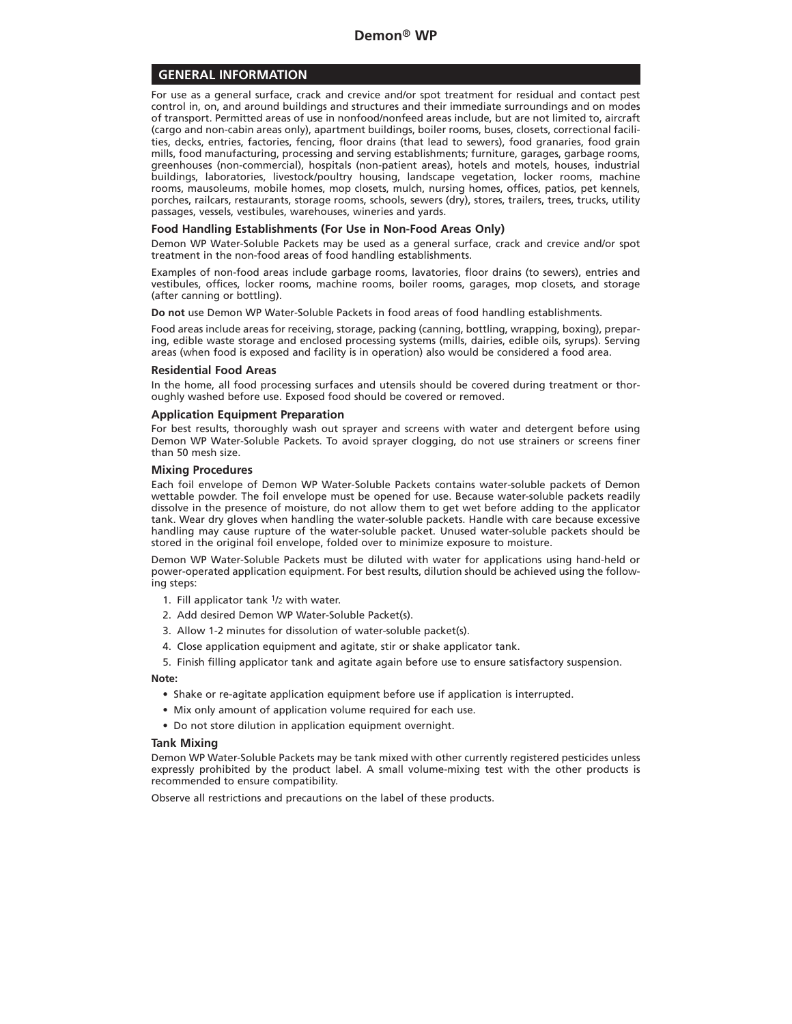# **GENERAL INFORMATION**

For use as a general surface, crack and crevice and/or spot treatment for residual and contact pest control in, on, and around buildings and structures and their immediate surroundings and on modes of transport. Permitted areas of use in nonfood/nonfeed areas include, but are not limited to, aircraft (cargo and non-cabin areas only), apartment buildings, boiler rooms, buses, closets, correctional facilities, decks, entries, factories, fencing, floor drains (that lead to sewers), food granaries, food grain mills, food manufacturing, processing and serving establishments; furniture, garages, garbage rooms, greenhouses (non-commercial), hospitals (non-patient areas), hotels and motels, houses, industrial buildings, laboratories, livestock/poultry housing, landscape vegetation, locker rooms, machine rooms, mausoleums, mobile homes, mop closets, mulch, nursing homes, offices, patios, pet kennels, porches, railcars, restaurants, storage rooms, schools, sewers (dry), stores, trailers, trees, trucks, utility passages, vessels, vestibules, warehouses, wineries and yards.

### **Food Handling Establishments (For Use in Non-Food Areas Only)**

Demon WP Water-Soluble Packets may be used as a general surface, crack and crevice and/or spot treatment in the non-food areas of food handling establishments.

Examples of non-food areas include garbage rooms, lavatories, floor drains (to sewers), entries and vestibules, offices, locker rooms, machine rooms, boiler rooms, garages, mop closets, and storage (after canning or bottling).

**Do not** use Demon WP Water-Soluble Packets in food areas of food handling establishments.

Food areas include areas for receiving, storage, packing (canning, bottling, wrapping, boxing), preparing, edible waste storage and enclosed processing systems (mills, dairies, edible oils, syrups). Serving areas (when food is exposed and facility is in operation) also would be considered a food area.

# **Residential Food Areas**

In the home, all food processing surfaces and utensils should be covered during treatment or thoroughly washed before use. Exposed food should be covered or removed.

### **Application Equipment Preparation**

For best results, thoroughly wash out sprayer and screens with water and detergent before using Demon WP Water-Soluble Packets. To avoid sprayer clogging, do not use strainers or screens finer than 50 mesh size.

### **Mixing Procedures**

Each foil envelope of Demon WP Water-Soluble Packets contains water-soluble packets of Demon wettable powder. The foil envelope must be opened for use. Because water-soluble packets readily dissolve in the presence of moisture, do not allow them to get wet before adding to the applicator tank. Wear dry gloves when handling the water-soluble packets. Handle with care because excessive handling may cause rupture of the water-soluble packet. Unused water-soluble packets should be stored in the original foil envelope, folded over to minimize exposure to moisture.

Demon WP Water-Soluble Packets must be diluted with water for applications using hand-held or power-operated application equipment. For best results, dilution should be achieved using the following steps:

- 1. Fill applicator tank 1/2 with water.
- 2. Add desired Demon WP Water-Soluble Packet(s).
- 3. Allow 1-2 minutes for dissolution of water-soluble packet(s).
- 4. Close application equipment and agitate, stir or shake applicator tank.

5. Finish filling applicator tank and agitate again before use to ensure satisfactory suspension.

#### **Note:**

- Shake or re-agitate application equipment before use if application is interrupted.
- Mix only amount of application volume required for each use.
- Do not store dilution in application equipment overnight.

#### **Tank Mixing**

Demon WP Water-Soluble Packets may be tank mixed with other currently registered pesticides unless expressly prohibited by the product label. A small volume-mixing test with the other products is recommended to ensure compatibility.

Observe all restrictions and precautions on the label of these products.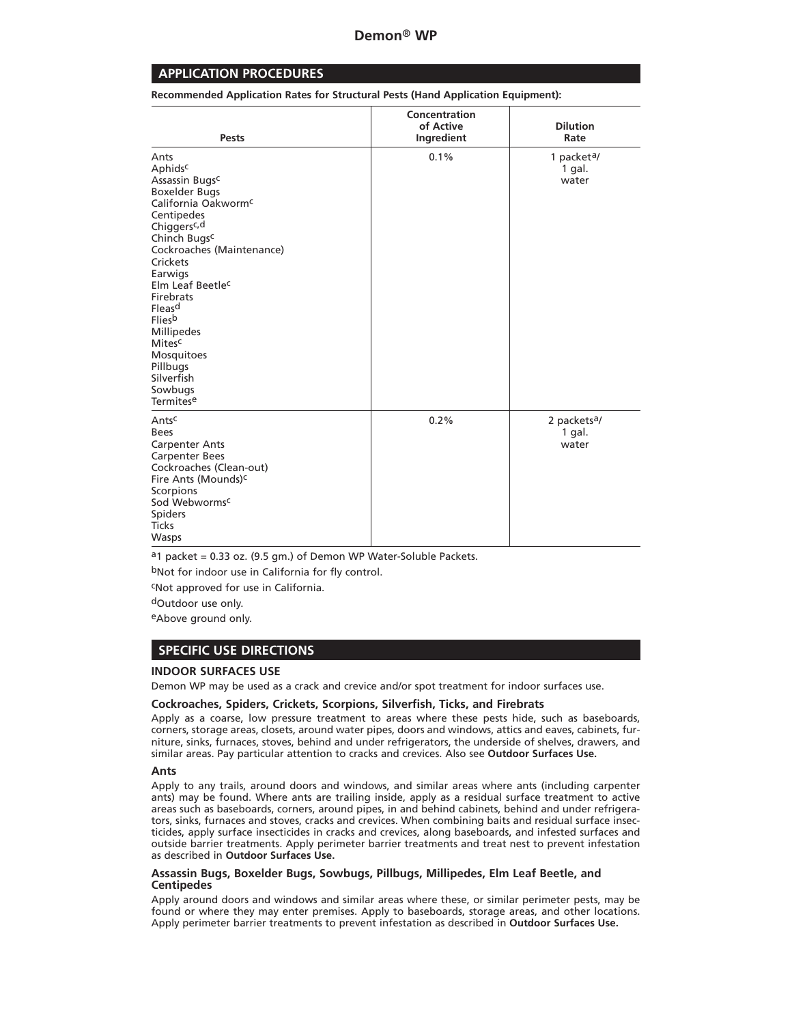# **APPLICATION PROCEDURES**

**Recommended Application Rates for Structural Pests (Hand Application Equipment):**

| <b>Pests</b>                                                                                                                                                                                                                                                                                                                                                                                                               | Concentration<br>of Active<br>Ingredient | <b>Dilution</b><br>Rate                     |
|----------------------------------------------------------------------------------------------------------------------------------------------------------------------------------------------------------------------------------------------------------------------------------------------------------------------------------------------------------------------------------------------------------------------------|------------------------------------------|---------------------------------------------|
| Ants<br>Aphids <sup>c</sup><br>Assassin Bugs <sup>c</sup><br><b>Boxelder Bugs</b><br>California Oakworm <sup>c</sup><br>Centipedes<br>Chiggers <sup>c, d</sup><br>Chinch Bugs <sup>c</sup><br>Cockroaches (Maintenance)<br>Crickets<br>Earwigs<br>Elm Leaf Beetle <sup>c</sup><br>Firebrats<br>Fleas <sup>d</sup><br><b>Fliesb</b><br>Millipedes<br>Mitesc<br>Mosquitoes<br>Pillbugs<br>Silverfish<br>Sowbugs<br>Termitese | 0.1%                                     | 1 packet <sup>a</sup> /<br>1 gal.<br>water  |
| Antsc<br><b>Bees</b><br><b>Carpenter Ants</b><br><b>Carpenter Bees</b><br>Cockroaches (Clean-out)<br>Fire Ants (Mounds) <sup>c</sup><br>Scorpions<br>Sod Webworms <sup>c</sup><br>Spiders<br><b>Ticks</b><br>Wasps                                                                                                                                                                                                         | 0.2%                                     | 2 packets <sup>a</sup> /<br>1 gal.<br>water |

 $a_1$  packet = 0.33 oz. (9.5 gm.) of Demon WP Water-Soluble Packets.

bNot for indoor use in California for fly control.

cNot approved for use in California.

dOutdoor use only.

eAbove ground only.

# **SPECIFIC USE DIRECTIONS**

# **INDOOR SURFACES USE**

Demon WP may be used as a crack and crevice and/or spot treatment for indoor surfaces use.

### **Cockroaches, Spiders, Crickets, Scorpions, Silverfish, Ticks, and Firebrats**

Apply as a coarse, low pressure treatment to areas where these pests hide, such as baseboards, corners, storage areas, closets, around water pipes, doors and windows, attics and eaves, cabinets, furniture, sinks, furnaces, stoves, behind and under refrigerators, the underside of shelves, drawers, and similar areas. Pay particular attention to cracks and crevices. Also see **Outdoor Surfaces Use.**

### **Ants**

Apply to any trails, around doors and windows, and similar areas where ants (including carpenter ants) may be found. Where ants are trailing inside, apply as a residual surface treatment to active areas such as baseboards, corners, around pipes, in and behind cabinets, behind and under refrigerators, sinks, furnaces and stoves, cracks and crevices. When combining baits and residual surface insecticides, apply surface insecticides in cracks and crevices, along baseboards, and infested surfaces and outside barrier treatments. Apply perimeter barrier treatments and treat nest to prevent infestation as described in **Outdoor Surfaces Use.**

### **Assassin Bugs, Boxelder Bugs, Sowbugs, Pillbugs, Millipedes, Elm Leaf Beetle, and Centipedes**

Apply around doors and windows and similar areas where these, or similar perimeter pests, may be found or where they may enter premises. Apply to baseboards, storage areas, and other locations. Apply perimeter barrier treatments to prevent infestation as described in **Outdoor Surfaces Use.**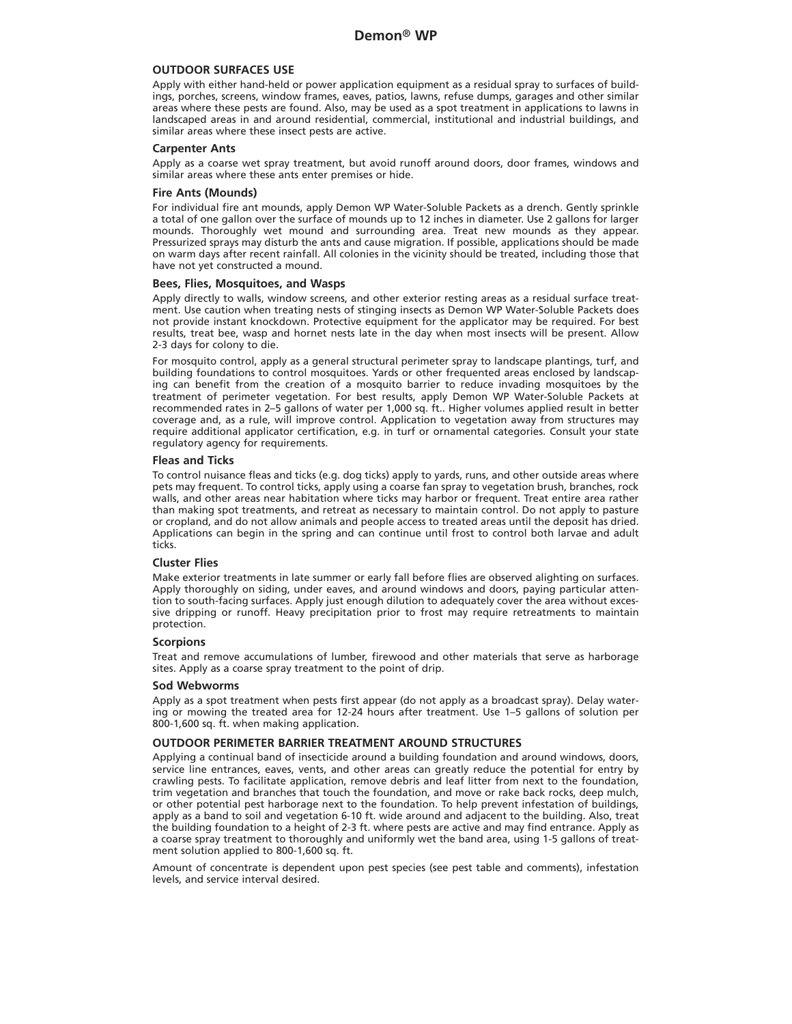# **OUTDOOR SURFACES USE**

Apply with either hand-held or power application equipment as a residual spray to surfaces of buildings, porches, screens, window frames, eaves, patios, lawns, refuse dumps, garages and other similar areas where these pests are found. Also, may be used as a spot treatment in applications to lawns in landscaped areas in and around residential, commercial, institutional and industrial buildings, and similar areas where these insect pests are active.

#### **Carpenter Ants**

Apply as a coarse wet spray treatment, but avoid runoff around doors, door frames, windows and similar areas where these ants enter premises or hide.

#### **Fire Ants (Mounds)**

For individual fire ant mounds, apply Demon WP Water-Soluble Packets as a drench. Gently sprinkle a total of one gallon over the surface of mounds up to 12 inches in diameter. Use 2 gallons for larger mounds. Thoroughly wet mound and surrounding area. Treat new mounds as they appear. Pressurized sprays may disturb the ants and cause migration. If possible, applications should be made on warm days after recent rainfall. All colonies in the vicinity should be treated, including those that have not yet constructed a mound.

### **Bees, Flies, Mosquitoes, and Wasps**

Apply directly to walls, window screens, and other exterior resting areas as a residual surface treatment. Use caution when treating nests of stinging insects as Demon WP Water-Soluble Packets does not provide instant knockdown. Protective equipment for the applicator may be required. For best results, treat bee, wasp and hornet nests late in the day when most insects will be present. Allow 2-3 days for colony to die.

For mosquito control, apply as a general structural perimeter spray to landscape plantings, turf, and building foundations to control mosquitoes. Yards or other frequented areas enclosed by landscaping can benefit from the creation of a mosquito barrier to reduce invading mosquitoes by the treatment of perimeter vegetation. For best results, apply Demon WP Water-Soluble Packets at recommended rates in 2–5 gallons of water per 1,000 sq. ft.. Higher volumes applied result in better coverage and, as a rule, will improve control. Application to vegetation away from structures may require additional applicator certification, e.g. in turf or ornamental categories. Consult your state regulatory agency for requirements.

#### **Fleas and Ticks**

To control nuisance fleas and ticks (e.g. dog ticks) apply to yards, runs, and other outside areas where pets may frequent. To control ticks, apply using a coarse fan spray to vegetation brush, branches, rock walls, and other areas near habitation where ticks may harbor or frequent. Treat entire area rather than making spot treatments, and retreat as necessary to maintain control. Do not apply to pasture or cropland, and do not allow animals and people access to treated areas until the deposit has dried. Applications can begin in the spring and can continue until frost to control both larvae and adult ticks.

### **Cluster Flies**

Make exterior treatments in late summer or early fall before flies are observed alighting on surfaces. Apply thoroughly on siding, under eaves, and around windows and doors, paying particular attention to south-facing surfaces. Apply just enough dilution to adequately cover the area without excessive dripping or runoff. Heavy precipitation prior to frost may require retreatments to maintain protection.

#### **Scorpions**

Treat and remove accumulations of lumber, firewood and other materials that serve as harborage sites. Apply as a coarse spray treatment to the point of drip.

#### **Sod Webworms**

Apply as a spot treatment when pests first appear (do not apply as a broadcast spray). Delay watering or mowing the treated area for 12-24 hours after treatment. Use 1–5 gallons of solution per 800-1,600 sq. ft. when making application.

#### **OUTDOOR PERIMETER BARRIER TREATMENT AROUND STRUCTURES**

Applying a continual band of insecticide around a building foundation and around windows, doors, service line entrances, eaves, vents, and other areas can greatly reduce the potential for entry by crawling pests. To facilitate application, remove debris and leaf litter from next to the foundation, trim vegetation and branches that touch the foundation, and move or rake back rocks, deep mulch, or other potential pest harborage next to the foundation. To help prevent infestation of buildings, apply as a band to soil and vegetation 6-10 ft. wide around and adjacent to the building. Also, treat the building foundation to a height of 2-3 ft. where pests are active and may find entrance. Apply as a coarse spray treatment to thoroughly and uniformly wet the band area, using 1-5 gallons of treatment solution applied to 800-1,600 sq. ft.

Amount of concentrate is dependent upon pest species (see pest table and comments), infestation levels, and service interval desired.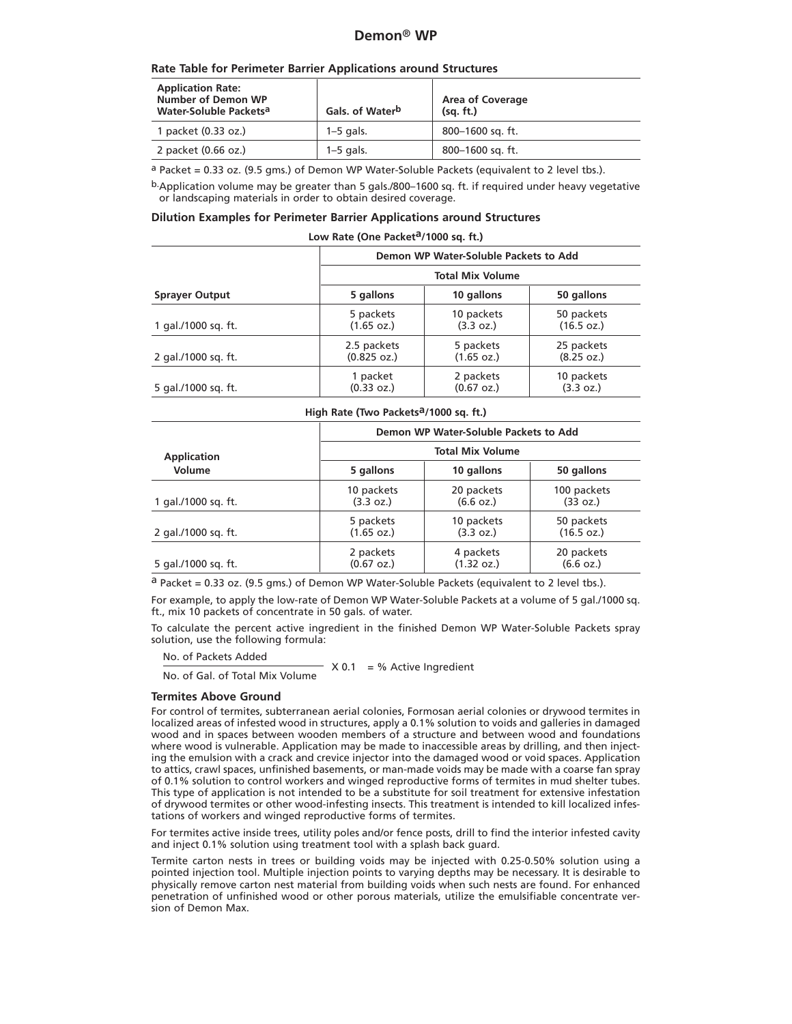# **Demon**® **WP**

# **Rate Table for Perimeter Barrier Applications around Structures**

| <b>Application Rate:</b><br><b>Number of Demon WP</b><br>Water-Soluble Packets <sup>a</sup> | Gals. of Water <sup>b</sup> | <b>Area of Coverage</b><br>(sq. ft.) |
|---------------------------------------------------------------------------------------------|-----------------------------|--------------------------------------|
| 1 packet (0.33 oz.)                                                                         | $1-5$ gals.                 | 800–1600 sq. ft.                     |
| 2 packet (0.66 oz.)                                                                         | $1-5$ gals.                 | 800-1600 sq. ft.                     |

a Packet = 0.33 oz. (9.5 gms.) of Demon WP Water-Soluble Packets (equivalent to 2 level tbs.).

b.Application volume may be greater than 5 gals./800–1600 sq. ft. if required under heavy vegetative or landscaping materials in order to obtain desired coverage.

### **Dilution Examples for Perimeter Barrier Applications around Structures**

# Low Rate (One Packet<sup>a</sup>/1000 sq. ft.)

|                       | Demon WP Water-Soluble Packets to Add<br><b>Total Mix Volume</b> |                      |            |  |
|-----------------------|------------------------------------------------------------------|----------------------|------------|--|
|                       |                                                                  |                      |            |  |
| <b>Sprayer Output</b> | 5 gallons                                                        | 10 gallons           | 50 gallons |  |
| 1 gal./1000 sg. ft.   | 5 packets                                                        | 10 packets           | 50 packets |  |
|                       | $(1.65 \text{ oz.})$                                             | (3.3 oz.)            | (16.5 oz.) |  |
| 2 gal./1000 sg. ft.   | 2.5 packets                                                      | 5 packets            | 25 packets |  |
|                       | (0.825 oz.)                                                      | (1.65 oz.)           | (8.25 oz.) |  |
| 5 gal./1000 sq. ft.   | 1 packet                                                         | 2 packets            | 10 packets |  |
|                       | (0.33 oz.)                                                       | $(0.67 \text{ oz.})$ | (3.3 oz.)  |  |

High Rate (Two Packets<sup>a</sup>/1000 sq. ft.)

|                     | Demon WP Water-Soluble Packets to Add |            |             |  |
|---------------------|---------------------------------------|------------|-------------|--|
| <b>Application</b>  | <b>Total Mix Volume</b>               |            |             |  |
| Volume              | 5 gallons                             | 10 gallons | 50 gallons  |  |
| 1 gal./1000 sg. ft. | 10 packets                            | 20 packets | 100 packets |  |
|                     | (3.3 oz.)                             | (6.6 oz.)  | (33 oz.)    |  |
| 2 gal./1000 sq. ft. | 5 packets                             | 10 packets | 50 packets  |  |
|                     | (1.65 oz.)                            | (3.3 oz.)  | (16.5 oz.)  |  |
| 5 gal./1000 sq. ft. | 2 packets                             | 4 packets  | 20 packets  |  |
|                     | $(0.67 \text{ oz.})$                  | (1.32 oz.) | (6.6 oz.)   |  |

 $a$  Packet = 0.33 oz. (9.5 gms.) of Demon WP Water-Soluble Packets (equivalent to 2 level tbs.).

For example, to apply the low-rate of Demon WP Water-Soluble Packets at a volume of 5 gal./1000 sq. ft., mix 10 packets of concentrate in 50 gals. of water.

To calculate the percent active ingredient in the finished Demon WP Water-Soluble Packets spray solution, use the following formula:

No. of Packets Added

 $\overline{\phantom{a}}$  X 0.1 = % Active Ingredient No. of Gal. of Total Mix Volume

# **Termites Above Ground**

For control of termites, subterranean aerial colonies, Formosan aerial colonies or drywood termites in localized areas of infested wood in structures, apply a 0.1% solution to voids and galleries in damaged wood and in spaces between wooden members of a structure and between wood and foundations where wood is vulnerable. Application may be made to inaccessible areas by drilling, and then injecting the emulsion with a crack and crevice injector into the damaged wood or void spaces. Application to attics, crawl spaces, unfinished basements, or man-made voids may be made with a coarse fan spray of 0.1% solution to control workers and winged reproductive forms of termites in mud shelter tubes. This type of application is not intended to be a substitute for soil treatment for extensive infestation of drywood termites or other wood-infesting insects. This treatment is intended to kill localized infestations of workers and winged reproductive forms of termites.

For termites active inside trees, utility poles and/or fence posts, drill to find the interior infested cavity and inject 0.1% solution using treatment tool with a splash back guard.

Termite carton nests in trees or building voids may be injected with 0.25-0.50% solution using a pointed injection tool. Multiple injection points to varying depths may be necessary. It is desirable to physically remove carton nest material from building voids when such nests are found. For enhanced penetration of unfinished wood or other porous materials, utilize the emulsifiable concentrate version of Demon Max.